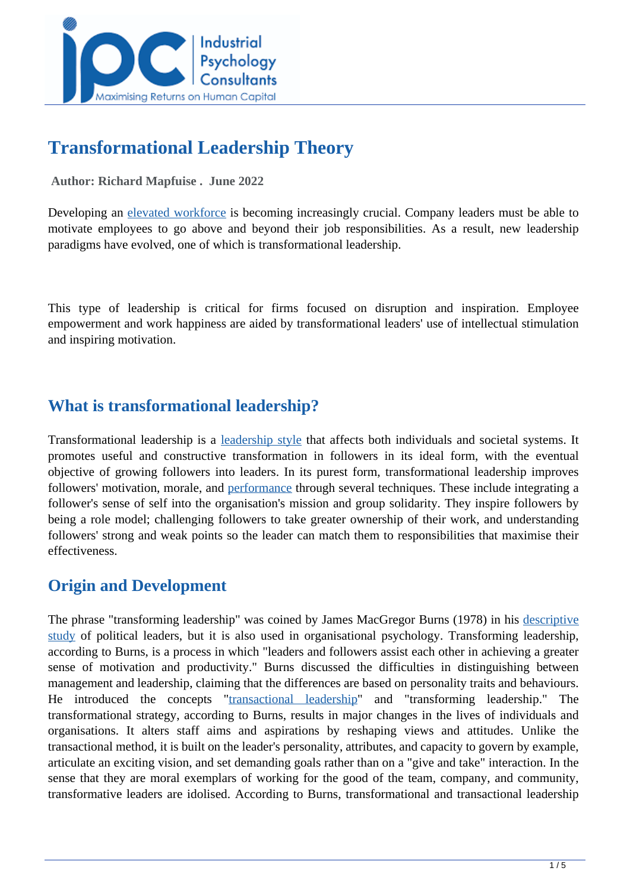

# **Transformational Leadership Theory**

 **Author: Richard Mapfuise . June 2022** 

Developing an [elevated workforce](../articles/HOWTOMOTIVATEEMPLOYEES) is becoming increasingly crucial. Company leaders must be able to motivate employees to go above and beyond their job responsibilities. As a result, new leadership paradigms have evolved, one of which is transformational leadership.

This type of leadership is critical for firms focused on disruption and inspiration. Employee empowerment and work happiness are aided by transformational leaders' use of intellectual stimulation and inspiring motivation.

# **What is transformational leadership?**

Transformational leadership is a [leadership style](../articles/Leadership-Styles-What-You-Need-To-Know-) that affects both individuals and societal systems. It promotes useful and constructive transformation in followers in its ideal form, with the eventual objective of growing followers into leaders. In its purest form, transformational leadership improves followers' motivation, morale, and [performance](../articles/key-performance-indicators-a-guide-for-managers-) through several techniques. These include integrating a follower's sense of self into the organisation's mission and group solidarity. They inspire followers by being a role model; challenging followers to take greater ownership of their work, and understanding followers' strong and weak points so the leader can match them to responsibilities that maximise their effectiveness.

## **Origin and Development**

The phrase "transforming leadership" was coined by James MacGregor Burns (1978) in his [descriptive](https://ori.hhs.gov/education/products/sdsu/res_des1.htm#:~:text=Additional%20Sections-,Descriptive%20Studies,%E2%80%9D%20or%20%E2%80%9C%20observational%20%E2%80%9D%20studies.) [study](https://ori.hhs.gov/education/products/sdsu/res_des1.htm#:~:text=Additional%20Sections-,Descriptive%20Studies,%E2%80%9D%20or%20%E2%80%9C%20observational%20%E2%80%9D%20studies.) of political leaders, but it is also used in organisational psychology. Transforming leadership, according to Burns, is a process in which "leaders and followers assist each other in achieving a greater sense of motivation and productivity." Burns discussed the difficulties in distinguishing between management and leadership, claiming that the differences are based on personality traits and behaviours. He introduced the concepts ["transactional leadership"](https://www.managementstudyguide.com/transactional-leadership.htm) and "transforming leadership." The transformational strategy, according to Burns, results in major changes in the lives of individuals and organisations. It alters staff aims and aspirations by reshaping views and attitudes. Unlike the transactional method, it is built on the leader's personality, attributes, and capacity to govern by example, articulate an exciting vision, and set demanding goals rather than on a "give and take" interaction. In the sense that they are moral exemplars of working for the good of the team, company, and community, transformative leaders are idolised. According to Burns, transformational and transactional leadership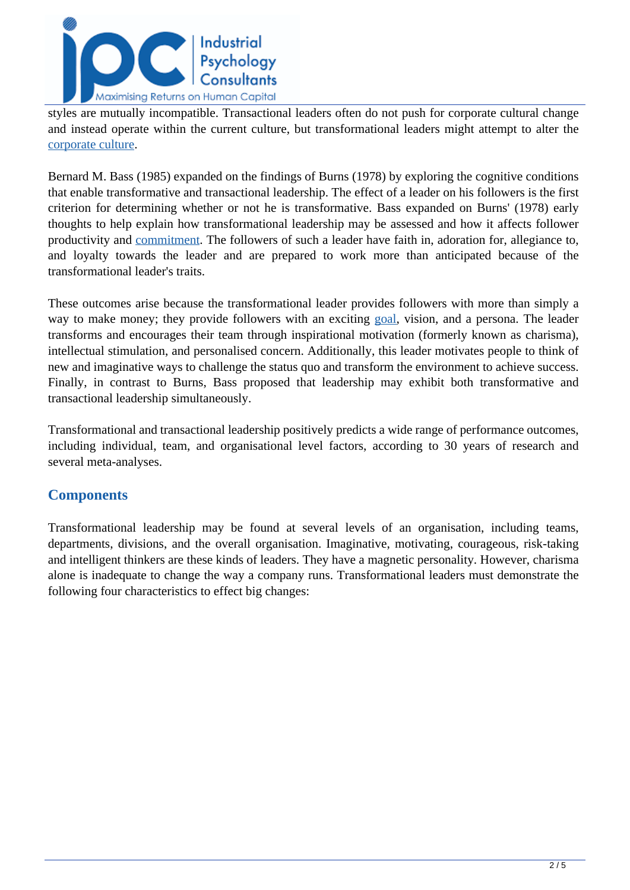

styles are mutually incompatible. Transactional leaders often do not push for corporate cultural change and instead operate within the current culture, but transformational leaders might attempt to alter the [corporate culture.](../articles/The-Best-Definitions-Of-Organisational-Culture-)

Bernard M. Bass (1985) expanded on the findings of Burns (1978) by exploring the cognitive conditions that enable transformative and transactional leadership. The effect of a leader on his followers is the first criterion for determining whether or not he is transformative. Bass expanded on Burns' (1978) early thoughts to help explain how transformational leadership may be assessed and how it affects follower productivity and [commitment.](../articles/organizational-commitment-everything-you-need-to-know) The followers of such a leader have faith in, adoration for, allegiance to, and loyalty towards the leader and are prepared to work more than anticipated because of the transformational leader's traits.

These outcomes arise because the transformational leader provides followers with more than simply a way to make money; they provide followers with an exciting [goal,](../articles/setting-goals-in-the-workplace) vision, and a persona. The leader transforms and encourages their team through inspirational motivation (formerly known as charisma), intellectual stimulation, and personalised concern. Additionally, this leader motivates people to think of new and imaginative ways to challenge the status quo and transform the environment to achieve success. Finally, in contrast to Burns, Bass proposed that leadership may exhibit both transformative and transactional leadership simultaneously.

Transformational and transactional leadership positively predicts a wide range of performance outcomes, including individual, team, and organisational level factors, according to 30 years of research and several meta-analyses.

### **Components**

Transformational leadership may be found at several levels of an organisation, including teams, departments, divisions, and the overall organisation. Imaginative, motivating, courageous, risk-taking and intelligent thinkers are these kinds of leaders. They have a magnetic personality. However, charisma alone is inadequate to change the way a company runs. Transformational leaders must demonstrate the following four characteristics to effect big changes: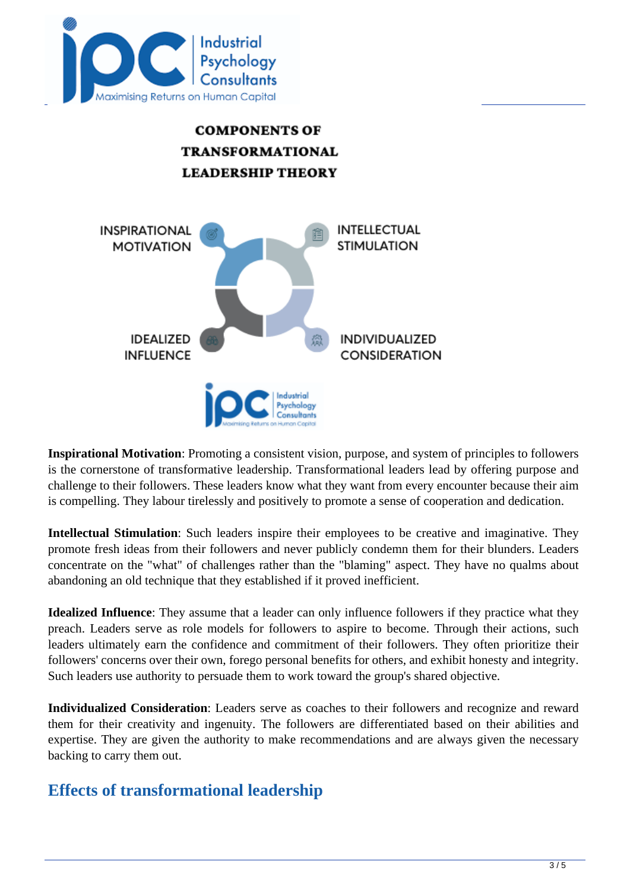



**Inspirational Motivation**: Promoting a consistent vision, purpose, and system of principles to followers is the cornerstone of transformative leadership. Transformational leaders lead by offering purpose and challenge to their followers. These leaders know what they want from every encounter because their aim is compelling. They labour tirelessly and positively to promote a sense of cooperation and dedication.

**Intellectual Stimulation**: Such leaders inspire their employees to be creative and imaginative. They promote fresh ideas from their followers and never publicly condemn them for their blunders. Leaders concentrate on the "what" of challenges rather than the "blaming" aspect. They have no qualms about abandoning an old technique that they established if it proved inefficient.

**Idealized Influence**: They assume that a leader can only influence followers if they practice what they preach. Leaders serve as role models for followers to aspire to become. Through their actions, such leaders ultimately earn the confidence and commitment of their followers. They often prioritize their followers' concerns over their own, forego personal benefits for others, and exhibit honesty and integrity. Such leaders use authority to persuade them to work toward the group's shared objective.

**Individualized Consideration**: Leaders serve as coaches to their followers and recognize and reward them for their creativity and ingenuity. The followers are differentiated based on their abilities and expertise. They are given the authority to make recommendations and are always given the necessary backing to carry them out.

## **Effects of transformational leadership**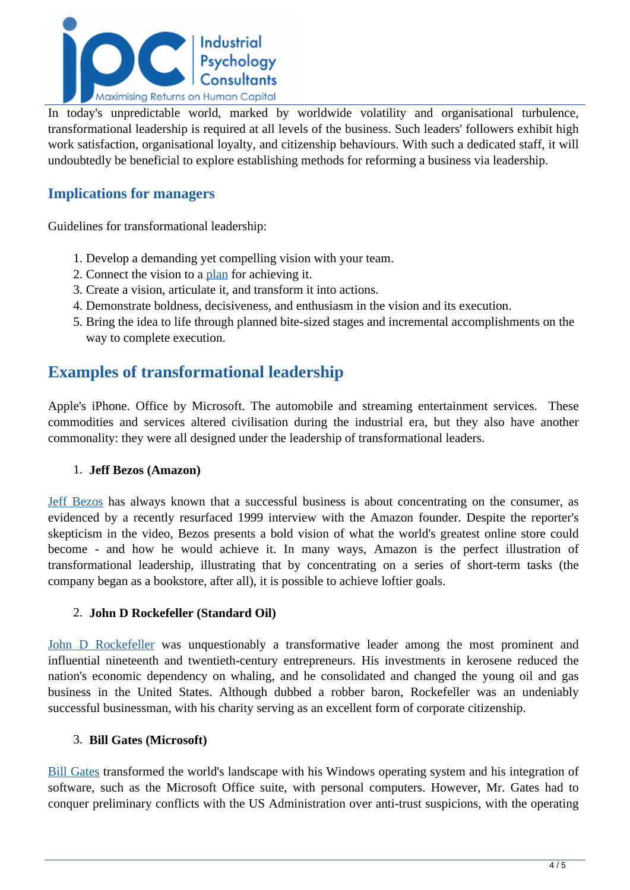

In today's unpredictable world, marked by worldwide volatility and organisational turbulence, transformational leadership is required at all levels of the business. Such leaders' followers exhibit high work satisfaction, organisational loyalty, and citizenship behaviours. With such a dedicated staff, it will undoubtedly be beneficial to explore establishing methods for reforming a business via leadership.

### **Implications for managers**

Guidelines for transformational leadership:

- 1. Develop a demanding yet compelling vision with your team.
- 2. Connect the vision to a [plan](../articles/strategy-execution-what-you-need-to-know) for achieving it.
- 3. Create a vision, articulate it, and transform it into actions.
- 4. Demonstrate boldness, decisiveness, and enthusiasm in the vision and its execution.
- 5. Bring the idea to life through planned bite-sized stages and incremental accomplishments on the way to complete execution.

## **Examples of transformational leadership**

Apple's iPhone. Office by Microsoft. The automobile and streaming entertainment services. These commodities and services altered civilisation during the industrial era, but they also have another commonality: they were all designed under the leadership of transformational leaders.

### 1. **Jeff Bezos (Amazon)**

[Jeff Bezos](https://www.biography.com/business-figure/jeff-bezos) has always known that a successful business is about concentrating on the consumer, as evidenced by a recently resurfaced 1999 interview with the Amazon founder. Despite the reporter's skepticism in the video, Bezos presents a bold vision of what the world's greatest online store could become - and how he would achieve it. In many ways, Amazon is the perfect illustration of transformational leadership, illustrating that by concentrating on a series of short-term tasks (the company began as a bookstore, after all), it is possible to achieve loftier goals.

### 2. **John D Rockefeller (Standard Oil)**

[John D Rockefeller w](https://www.biography.com/business-figure/john-d-rockefeller)as unquestionably a transformative leader among the most prominent and influential nineteenth and twentieth-century entrepreneurs. His investments in kerosene reduced the nation's economic dependency on whaling, and he consolidated and changed the young oil and gas business in the United States. Although dubbed a robber baron, Rockefeller was an undeniably successful businessman, with his charity serving as an excellent form of corporate citizenship.

#### 3. **Bill Gates (Microsoft)**

[Bill Gates](https://www.gatesnotes.com/Bio) transformed the world's landscape with his Windows operating system and his integration of software, such as the Microsoft Office suite, with personal computers. However, Mr. Gates had to conquer preliminary conflicts with the US Administration over anti-trust suspicions, with the operating